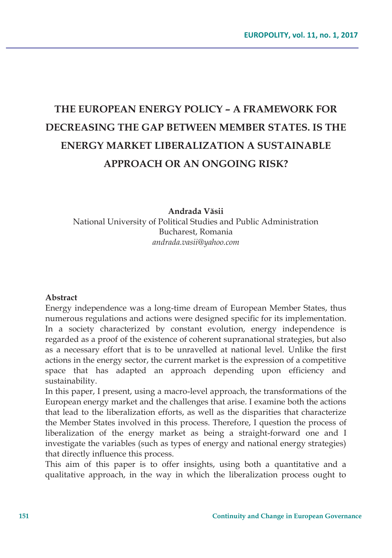# **THE EUROPEAN ENERGY POLICY – A FRAMEWORK FOR DECREASING THE GAP BETWEEN MEMBER STATES. IS THE ENERGY MARKET LIBERALIZATION A SUSTAINABLE APPROACH OR AN ONGOING RISK?**

**Andrada Văsii**  National University of Political Studies and Public Administration Bucharest, Romania *andrada.vasii@yahoo.com* 

#### **Abstract**

Energy independence was a long-time dream of European Member States, thus numerous regulations and actions were designed specific for its implementation. In a society characterized by constant evolution, energy independence is regarded as a proof of the existence of coherent supranational strategies, but also as a necessary effort that is to be unravelled at national level. Unlike the first actions in the energy sector, the current market is the expression of a competitive space that has adapted an approach depending upon efficiency and sustainability.

In this paper, I present, using a macro-level approach, the transformations of the European energy market and the challenges that arise. I examine both the actions that lead to the liberalization efforts, as well as the disparities that characterize the Member States involved in this process. Therefore, I question the process of liberalization of the energy market as being a straight-forward one and I investigate the variables (such as types of energy and national energy strategies) that directly influence this process.

This aim of this paper is to offer insights, using both a quantitative and a qualitative approach, in the way in which the liberalization process ought to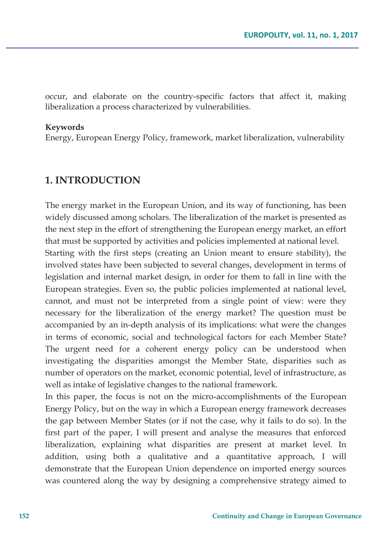occur, and elaborate on the country-specific factors that affect it, making liberalization a process characterized by vulnerabilities.

#### **Keywords**

Energy, European Energy Policy, framework, market liberalization, vulnerability

### **1. INTRODUCTION**

The energy market in the European Union, and its way of functioning, has been widely discussed among scholars. The liberalization of the market is presented as the next step in the effort of strengthening the European energy market, an effort that must be supported by activities and policies implemented at national level.

Starting with the first steps (creating an Union meant to ensure stability), the involved states have been subjected to several changes, development in terms of legislation and internal market design, in order for them to fall in line with the European strategies. Even so, the public policies implemented at national level, cannot, and must not be interpreted from a single point of view: were they necessary for the liberalization of the energy market? The question must be accompanied by an in-depth analysis of its implications: what were the changes in terms of economic, social and technological factors for each Member State? The urgent need for a coherent energy policy can be understood when investigating the disparities amongst the Member State, disparities such as number of operators on the market, economic potential, level of infrastructure, as well as intake of legislative changes to the national framework.

In this paper, the focus is not on the micro-accomplishments of the European Energy Policy, but on the way in which a European energy framework decreases the gap between Member States (or if not the case, why it fails to do so). In the first part of the paper, I will present and analyse the measures that enforced liberalization, explaining what disparities are present at market level. In addition, using both a qualitative and a quantitative approach, I will demonstrate that the European Union dependence on imported energy sources was countered along the way by designing a comprehensive strategy aimed to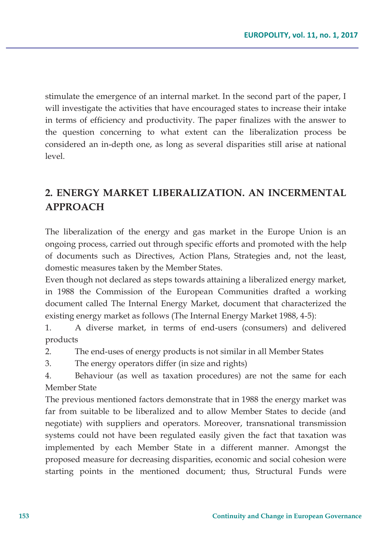stimulate the emergence of an internal market. In the second part of the paper, I will investigate the activities that have encouraged states to increase their intake in terms of efficiency and productivity. The paper finalizes with the answer to the question concerning to what extent can the liberalization process be considered an in-depth one, as long as several disparities still arise at national level.

# **2. ENERGY MARKET LIBERALIZATION. AN INCERMENTAL APPROACH**

The liberalization of the energy and gas market in the Europe Union is an ongoing process, carried out through specific efforts and promoted with the help of documents such as Directives, Action Plans, Strategies and, not the least, domestic measures taken by the Member States.

Even though not declared as steps towards attaining a liberalized energy market, in 1988 the Commission of the European Communities drafted a working document called The Internal Energy Market, document that characterized the existing energy market as follows (The Internal Energy Market 1988, 4-5):

1. A diverse market, in terms of end-users (consumers) and delivered products

2. The end-uses of energy products is not similar in all Member States

3. The energy operators differ (in size and rights)

4. Behaviour (as well as taxation procedures) are not the same for each Member State

The previous mentioned factors demonstrate that in 1988 the energy market was far from suitable to be liberalized and to allow Member States to decide (and negotiate) with suppliers and operators. Moreover, transnational transmission systems could not have been regulated easily given the fact that taxation was implemented by each Member State in a different manner. Amongst the proposed measure for decreasing disparities, economic and social cohesion were starting points in the mentioned document; thus, Structural Funds were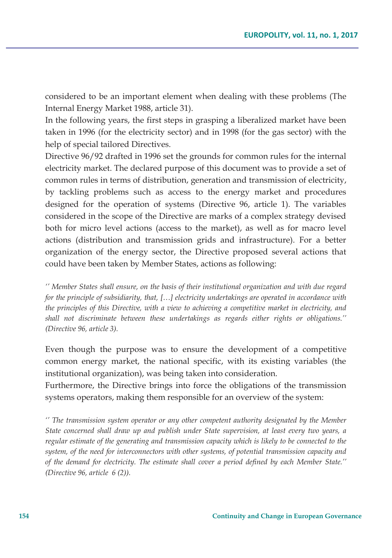considered to be an important element when dealing with these problems (The Internal Energy Market 1988, article 31).

In the following years, the first steps in grasping a liberalized market have been taken in 1996 (for the electricity sector) and in 1998 (for the gas sector) with the help of special tailored Directives.

Directive 96/92 drafted in 1996 set the grounds for common rules for the internal electricity market. The declared purpose of this document was to provide a set of common rules in terms of distribution, generation and transmission of electricity, by tackling problems such as access to the energy market and procedures designed for the operation of systems (Directive 96, article 1). The variables considered in the scope of the Directive are marks of a complex strategy devised both for micro level actions (access to the market), as well as for macro level actions (distribution and transmission grids and infrastructure). For a better organization of the energy sector, the Directive proposed several actions that could have been taken by Member States, actions as following:

*'' Member States shall ensure, on the basis of their institutional organization and with due regard for the principle of subsidiarity, that, […] electricity undertakings are operated in accordance with the principles of this Directive, with a view to achieving a competitive market in electricity, and shall not discriminate between these undertakings as regards either rights or obligations.'' (Directive 96, article 3).* 

Even though the purpose was to ensure the development of a competitive common energy market, the national specific, with its existing variables (the institutional organization), was being taken into consideration.

Furthermore, the Directive brings into force the obligations of the transmission systems operators, making them responsible for an overview of the system:

*'' The transmission system operator or any other competent authority designated by the Member State concerned shall draw up and publish under State supervision, at least every two years, a regular estimate of the generating and transmission capacity which is likely to be connected to the system, of the need for interconnectors with other systems, of potential transmission capacity and of the demand for electricity. The estimate shall cover a period defined by each Member State.'' (Directive 96, article 6 (2)).*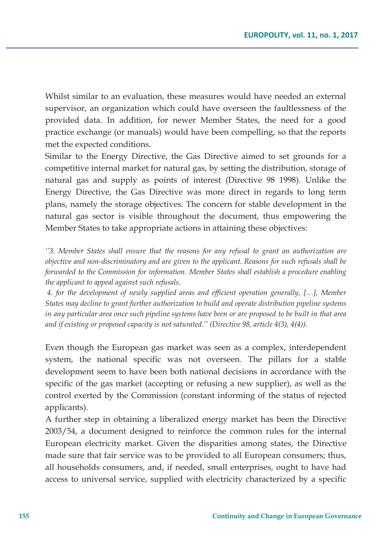Whilst similar to an evaluation, these measures would have needed an external supervisor, an organization which could have overseen the faultlessness of the provided data. In addition, for newer Member States, the need for a good practice exchange (or manuals) would have been compelling, so that the reports met the expected conditions.

Similar to the Energy Directive, the Gas Directive aimed to set grounds for a competitive internal market for natural gas, by setting the distribution, storage of natural gas and supply as points of interest (Directive 98 1998). Unlike the Energy Directive, the Gas Directive was more direct in regards to long term plans, namely the storage objectives. The concern for stable development in the natural gas sector is visible throughout the document, thus empowering the Member States to take appropriate actions in attaining these objectives:

*''3. Member States shall ensure that the reasons for any refusal to grant an authorization are objective and non-discriminatory and are given to the applicant. Reasons for such refusals shall be forwarded to the Commission for information. Member States shall establish a procedure enabling the applicant to appeal against such refusals.* 

 *4. for the development of newly supplied areas and efficient operation generally, […], Member States may decline to grant further authorization to build and operate distribution pipeline systems in any particular area once such pipeline systems have been or are proposed to be built in that area and if existing or proposed capacity is not saturated.'' (Directive 98, article 4(3), 4(4)).* 

Even though the European gas market was seen as a complex, interdependent system, the national specific was not overseen. The pillars for a stable development seem to have been both national decisions in accordance with the specific of the gas market (accepting or refusing a new supplier), as well as the control exerted by the Commission (constant informing of the status of rejected applicants).

A further step in obtaining a liberalized energy market has been the Directive 2003/54, a document designed to reinforce the common rules for the internal European electricity market. Given the disparities among states, the Directive made sure that fair service was to be provided to all European consumers; thus, all households consumers, and, if needed, small enterprises, ought to have had access to universal service, supplied with electricity characterized by a specific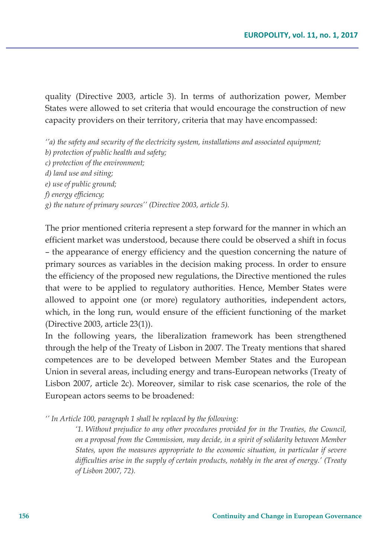quality (Directive 2003, article 3). In terms of authorization power, Member States were allowed to set criteria that would encourage the construction of new capacity providers on their territory, criteria that may have encompassed:

*''a) the safety and security of the electricity system, installations and associated equipment; b) protection of public health and safety; c) protection of the environment; d) land use and siting; e) use of public ground; f) energy efficiency; g) the nature of primary sources'' (Directive 2003, article 5).* 

The prior mentioned criteria represent a step forward for the manner in which an efficient market was understood, because there could be observed a shift in focus – the appearance of energy efficiency and the question concerning the nature of primary sources as variables in the decision making process. In order to ensure the efficiency of the proposed new regulations, the Directive mentioned the rules that were to be applied to regulatory authorities. Hence, Member States were allowed to appoint one (or more) regulatory authorities, independent actors, which, in the long run, would ensure of the efficient functioning of the market (Directive 2003, article 23(1)).

In the following years, the liberalization framework has been strengthened through the help of the Treaty of Lisbon in 2007. The Treaty mentions that shared competences are to be developed between Member States and the European Union in several areas, including energy and trans-European networks (Treaty of Lisbon 2007, article 2c). Moreover, similar to risk case scenarios, the role of the European actors seems to be broadened:

*'' In Article 100, paragraph 1 shall be replaced by the following:* 

*'1. Without prejudice to any other procedures provided for in the Treaties, the Council, on a proposal from the Commission, may decide, in a spirit of solidarity between Member States, upon the measures appropriate to the economic situation, in particular if severe difficulties arise in the supply of certain products, notably in the area of energy.' (Treaty of Lisbon 2007, 72).*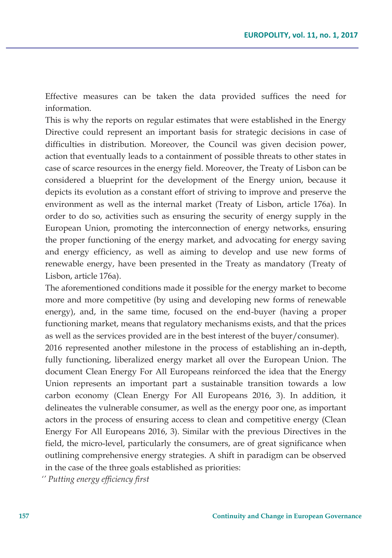Effective measures can be taken the data provided suffices the need for information.

This is why the reports on regular estimates that were established in the Energy Directive could represent an important basis for strategic decisions in case of difficulties in distribution. Moreover, the Council was given decision power, action that eventually leads to a containment of possible threats to other states in case of scarce resources in the energy field. Moreover, the Treaty of Lisbon can be considered a blueprint for the development of the Energy union, because it depicts its evolution as a constant effort of striving to improve and preserve the environment as well as the internal market (Treaty of Lisbon, article 176a). In order to do so, activities such as ensuring the security of energy supply in the European Union, promoting the interconnection of energy networks, ensuring the proper functioning of the energy market, and advocating for energy saving and energy efficiency, as well as aiming to develop and use new forms of renewable energy, have been presented in the Treaty as mandatory (Treaty of Lisbon, article 176a).

The aforementioned conditions made it possible for the energy market to become more and more competitive (by using and developing new forms of renewable energy), and, in the same time, focused on the end-buyer (having a proper functioning market, means that regulatory mechanisms exists, and that the prices as well as the services provided are in the best interest of the buyer/consumer).

2016 represented another milestone in the process of establishing an in-depth, fully functioning, liberalized energy market all over the European Union. The document Clean Energy For All Europeans reinforced the idea that the Energy Union represents an important part a sustainable transition towards a low carbon economy (Clean Energy For All Europeans 2016, 3). In addition, it delineates the vulnerable consumer, as well as the energy poor one, as important actors in the process of ensuring access to clean and competitive energy (Clean Energy For All Europeans 2016, 3). Similar with the previous Directives in the field, the micro-level, particularly the consumers, are of great significance when outlining comprehensive energy strategies. A shift in paradigm can be observed in the case of the three goals established as priorities:

*'' Putting energy efficiency first*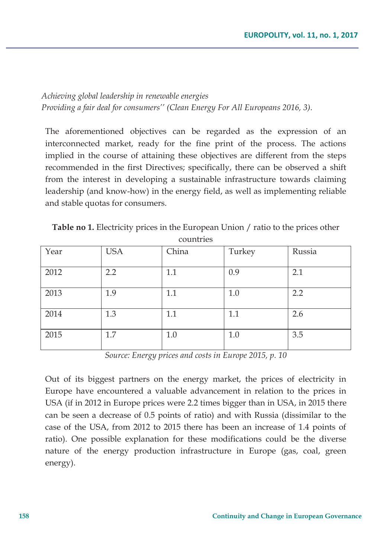*Achieving global leadership in renewable energies Providing a fair deal for consumers'' (Clean Energy For All Europeans 2016, 3).* 

The aforementioned objectives can be regarded as the expression of an interconnected market, ready for the fine print of the process. The actions implied in the course of attaining these objectives are different from the steps recommended in the first Directives; specifically, there can be observed a shift from the interest in developing a sustainable infrastructure towards claiming leadership (and know-how) in the energy field, as well as implementing reliable and stable quotas for consumers.

| ----------- |            |       |        |        |
|-------------|------------|-------|--------|--------|
| Year        | <b>USA</b> | China | Turkey | Russia |
| 2012        | 2.2        | 1.1   | 0.9    | 2.1    |
| 2013        | 1.9        | 1.1   | 1.0    | 2.2    |
| 2014        | 1.3        | 1.1   | 1.1    | 2.6    |
| 2015        | 1.7        | 1.0   | 1.0    | 3.5    |

**Table no 1.** Electricity prices in the European Union / ratio to the prices other countries

*Source: Energy prices and costs in Europe 2015, p. 10* 

Out of its biggest partners on the energy market, the prices of electricity in Europe have encountered a valuable advancement in relation to the prices in USA (if in 2012 in Europe prices were 2.2 times bigger than in USA, in 2015 there can be seen a decrease of 0.5 points of ratio) and with Russia (dissimilar to the case of the USA, from 2012 to 2015 there has been an increase of 1.4 points of ratio). One possible explanation for these modifications could be the diverse nature of the energy production infrastructure in Europe (gas, coal, green energy).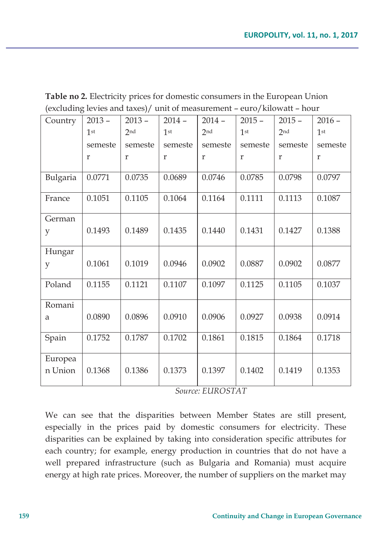| (excluding it rits and taxes)/ and of intastriction – care/knowall – hour |                 |                 |                 |          |                 |                 |                 |
|---------------------------------------------------------------------------|-----------------|-----------------|-----------------|----------|-----------------|-----------------|-----------------|
| Country                                                                   | $2013 -$        | $2013 -$        | $2014 -$        | $2014 -$ | $2015 -$        | $2015 -$        | $2016 -$        |
|                                                                           | 1 <sup>st</sup> | 2 <sub>nd</sub> | 1 <sup>st</sup> | 2nd      | 1 <sup>st</sup> | 2 <sub>nd</sub> | 1 <sup>st</sup> |
|                                                                           | semeste         | semeste         | semeste         | semeste  | semeste         | semeste         | semeste         |
|                                                                           | $\mathbf r$     | r               | $\mathbf r$     | r        | $\mathbf r$     | $\mathbf r$     | $\mathbf{r}$    |
| Bulgaria                                                                  | 0.0771          | 0.0735          | 0.0689          | 0.0746   | 0.0785          | 0.0798          | 0.0797          |
| France                                                                    | 0.1051          | 0.1105          | 0.1064          | 0.1164   | 0.1111          | 0.1113          | 0.1087          |
| German                                                                    |                 |                 |                 |          |                 |                 |                 |
| y                                                                         | 0.1493          | 0.1489          | 0.1435          | 0.1440   | 0.1431          | 0.1427          | 0.1388          |
| Hungar                                                                    |                 |                 |                 |          |                 |                 |                 |
| y                                                                         | 0.1061          | 0.1019          | 0.0946          | 0.0902   | 0.0887          | 0.0902          | 0.0877          |
| Poland                                                                    | 0.1155          | 0.1121          | 0.1107          | 0.1097   | 0.1125          | 0.1105          | 0.1037          |
| Romani                                                                    |                 |                 |                 |          |                 |                 |                 |
| a                                                                         | 0.0890          | 0.0896          | 0.0910          | 0.0906   | 0.0927          | 0.0938          | 0.0914          |
| Spain                                                                     | 0.1752          | 0.1787          | 0.1702          | 0.1861   | 0.1815          | 0.1864          | 0.1718          |
| Europea                                                                   |                 |                 |                 |          |                 |                 |                 |
| n Union                                                                   | 0.1368          | 0.1386          | 0.1373          | 0.1397   | 0.1402          | 0.1419          | 0.1353          |
|                                                                           |                 |                 |                 |          |                 |                 |                 |

**Table no 2.** Electricity prices for domestic consumers in the European Union (excluding levies and taxes)/ unit of measurement – euro/kilowatt – hour

*Source: EUROSTAT* 

We can see that the disparities between Member States are still present, especially in the prices paid by domestic consumers for electricity. These disparities can be explained by taking into consideration specific attributes for each country; for example, energy production in countries that do not have a well prepared infrastructure (such as Bulgaria and Romania) must acquire energy at high rate prices. Moreover, the number of suppliers on the market may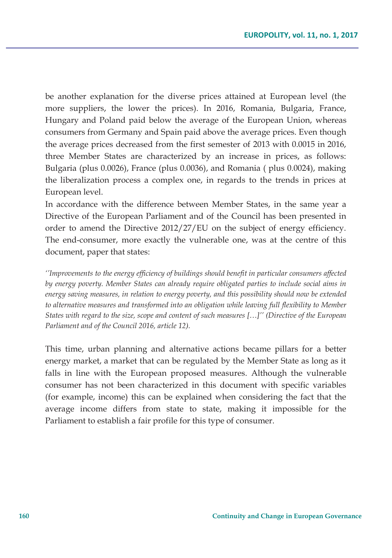be another explanation for the diverse prices attained at European level (the more suppliers, the lower the prices). In 2016, Romania, Bulgaria, France, Hungary and Poland paid below the average of the European Union, whereas consumers from Germany and Spain paid above the average prices. Even though the average prices decreased from the first semester of 2013 with 0.0015 in 2016, three Member States are characterized by an increase in prices, as follows: Bulgaria (plus 0.0026), France (plus 0.0036), and Romania ( plus 0.0024), making the liberalization process a complex one, in regards to the trends in prices at European level.

In accordance with the difference between Member States, in the same year a Directive of the European Parliament and of the Council has been presented in order to amend the Directive 2012/27/EU on the subject of energy efficiency. The end-consumer, more exactly the vulnerable one, was at the centre of this document, paper that states:

*''Improvements to the energy efficiency of buildings should benefit in particular consumers affected by energy poverty. Member States can already require obligated parties to include social aims in energy saving measures, in relation to energy poverty, and this possibility should now be extended to alternative measures and transformed into an obligation while leaving full flexibility to Member States with regard to the size, scope and content of such measures […]'' (Directive of the European Parliament and of the Council 2016, article 12).* 

This time, urban planning and alternative actions became pillars for a better energy market, a market that can be regulated by the Member State as long as it falls in line with the European proposed measures. Although the vulnerable consumer has not been characterized in this document with specific variables (for example, income) this can be explained when considering the fact that the average income differs from state to state, making it impossible for the Parliament to establish a fair profile for this type of consumer.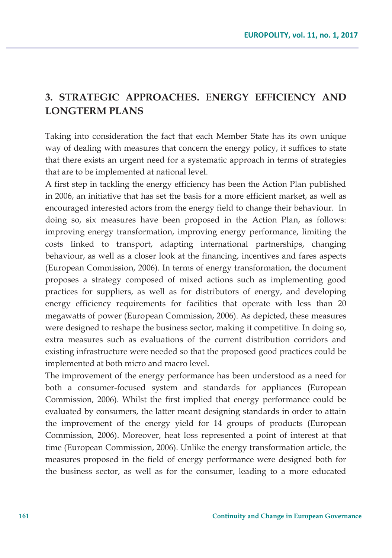# **3. STRATEGIC APPROACHES. ENERGY EFFICIENCY AND LONGTERM PLANS**

Taking into consideration the fact that each Member State has its own unique way of dealing with measures that concern the energy policy, it suffices to state that there exists an urgent need for a systematic approach in terms of strategies that are to be implemented at national level.

A first step in tackling the energy efficiency has been the Action Plan published in 2006, an initiative that has set the basis for a more efficient market, as well as encouraged interested actors from the energy field to change their behaviour. In doing so, six measures have been proposed in the Action Plan, as follows: improving energy transformation, improving energy performance, limiting the costs linked to transport, adapting international partnerships, changing behaviour, as well as a closer look at the financing, incentives and fares aspects (European Commission, 2006). In terms of energy transformation, the document proposes a strategy composed of mixed actions such as implementing good practices for suppliers, as well as for distributors of energy, and developing energy efficiency requirements for facilities that operate with less than 20 megawatts of power (European Commission, 2006). As depicted, these measures were designed to reshape the business sector, making it competitive. In doing so, extra measures such as evaluations of the current distribution corridors and existing infrastructure were needed so that the proposed good practices could be implemented at both micro and macro level.

The improvement of the energy performance has been understood as a need for both a consumer-focused system and standards for appliances (European Commission, 2006). Whilst the first implied that energy performance could be evaluated by consumers, the latter meant designing standards in order to attain the improvement of the energy yield for 14 groups of products (European Commission, 2006). Moreover, heat loss represented a point of interest at that time (European Commission, 2006). Unlike the energy transformation article, the measures proposed in the field of energy performance were designed both for the business sector, as well as for the consumer, leading to a more educated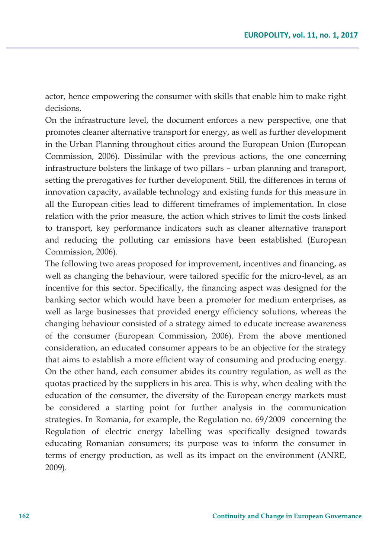actor, hence empowering the consumer with skills that enable him to make right decisions.

On the infrastructure level, the document enforces a new perspective, one that promotes cleaner alternative transport for energy, as well as further development in the Urban Planning throughout cities around the European Union (European Commission, 2006). Dissimilar with the previous actions, the one concerning infrastructure bolsters the linkage of two pillars – urban planning and transport, setting the prerogatives for further development. Still, the differences in terms of innovation capacity, available technology and existing funds for this measure in all the European cities lead to different timeframes of implementation. In close relation with the prior measure, the action which strives to limit the costs linked to transport, key performance indicators such as cleaner alternative transport and reducing the polluting car emissions have been established (European Commission, 2006).

The following two areas proposed for improvement, incentives and financing, as well as changing the behaviour, were tailored specific for the micro-level, as an incentive for this sector. Specifically, the financing aspect was designed for the banking sector which would have been a promoter for medium enterprises, as well as large businesses that provided energy efficiency solutions, whereas the changing behaviour consisted of a strategy aimed to educate increase awareness of the consumer (European Commission, 2006). From the above mentioned consideration, an educated consumer appears to be an objective for the strategy that aims to establish a more efficient way of consuming and producing energy. On the other hand, each consumer abides its country regulation, as well as the quotas practiced by the suppliers in his area. This is why, when dealing with the education of the consumer, the diversity of the European energy markets must be considered a starting point for further analysis in the communication strategies. In Romania, for example, the Regulation no. 69/2009 concerning the Regulation of electric energy labelling was specifically designed towards educating Romanian consumers; its purpose was to inform the consumer in terms of energy production, as well as its impact on the environment (ANRE, 2009).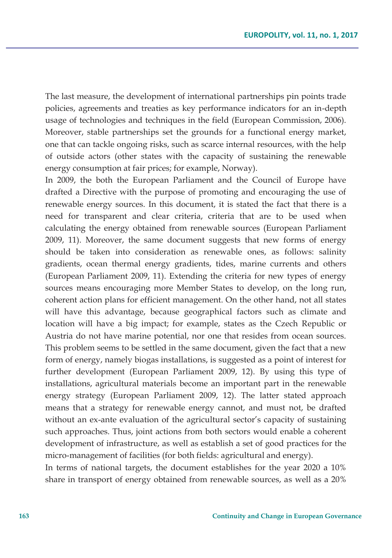The last measure, the development of international partnerships pin points trade policies, agreements and treaties as key performance indicators for an in-depth usage of technologies and techniques in the field (European Commission, 2006). Moreover, stable partnerships set the grounds for a functional energy market, one that can tackle ongoing risks, such as scarce internal resources, with the help of outside actors (other states with the capacity of sustaining the renewable energy consumption at fair prices; for example, Norway).

In 2009, the both the European Parliament and the Council of Europe have drafted a Directive with the purpose of promoting and encouraging the use of renewable energy sources. In this document, it is stated the fact that there is a need for transparent and clear criteria, criteria that are to be used when calculating the energy obtained from renewable sources (European Parliament 2009, 11). Moreover, the same document suggests that new forms of energy should be taken into consideration as renewable ones, as follows: salinity gradients, ocean thermal energy gradients, tides, marine currents and others (European Parliament 2009, 11). Extending the criteria for new types of energy sources means encouraging more Member States to develop, on the long run, coherent action plans for efficient management. On the other hand, not all states will have this advantage, because geographical factors such as climate and location will have a big impact; for example, states as the Czech Republic or Austria do not have marine potential, nor one that resides from ocean sources. This problem seems to be settled in the same document, given the fact that a new form of energy, namely biogas installations, is suggested as a point of interest for further development (European Parliament 2009, 12). By using this type of installations, agricultural materials become an important part in the renewable energy strategy (European Parliament 2009, 12). The latter stated approach means that a strategy for renewable energy cannot, and must not, be drafted without an ex-ante evaluation of the agricultural sector's capacity of sustaining such approaches. Thus, joint actions from both sectors would enable a coherent development of infrastructure, as well as establish a set of good practices for the micro-management of facilities (for both fields: agricultural and energy).

In terms of national targets, the document establishes for the year 2020 a 10% share in transport of energy obtained from renewable sources, as well as a 20%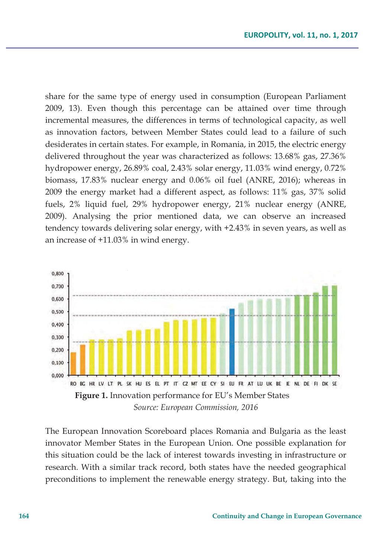share for the same type of energy used in consumption (European Parliament 2009, 13). Even though this percentage can be attained over time through incremental measures, the differences in terms of technological capacity, as well as innovation factors, between Member States could lead to a failure of such desiderates in certain states. For example, in Romania, in 2015, the electric energy delivered throughout the year was characterized as follows: 13.68% gas, 27.36% hydropower energy, 26.89% coal, 2.43% solar energy, 11.03% wind energy, 0.72% biomass, 17.83% nuclear energy and 0.06% oil fuel (ANRE, 2016); whereas in 2009 the energy market had a different aspect, as follows: 11% gas, 37% solid fuels, 2% liquid fuel, 29% hydropower energy, 21% nuclear energy (ANRE, 2009). Analysing the prior mentioned data, we can observe an increased tendency towards delivering solar energy, with +2.43% in seven years, as well as an increase of +11.03% in wind energy.



The European Innovation Scoreboard places Romania and Bulgaria as the least innovator Member States in the European Union. One possible explanation for this situation could be the lack of interest towards investing in infrastructure or research. With a similar track record, both states have the needed geographical preconditions to implement the renewable energy strategy. But, taking into the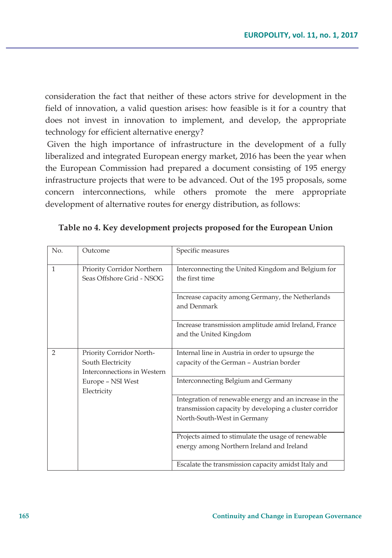consideration the fact that neither of these actors strive for development in the field of innovation, a valid question arises: how feasible is it for a country that does not invest in innovation to implement, and develop, the appropriate technology for efficient alternative energy?

 Given the high importance of infrastructure in the development of a fully liberalized and integrated European energy market, 2016 has been the year when the European Commission had prepared a document consisting of 195 energy infrastructure projects that were to be advanced. Out of the 195 proposals, some concern interconnections, while others promote the mere appropriate development of alternative routes for energy distribution, as follows:

| No.            | Outcome                                                                      | Specific measures                                                                                                                               |
|----------------|------------------------------------------------------------------------------|-------------------------------------------------------------------------------------------------------------------------------------------------|
| $\mathbf{1}$   | Priority Corridor Northern<br>Seas Offshore Grid - NSOG                      | Interconnecting the United Kingdom and Belgium for<br>the first time                                                                            |
|                |                                                                              | Increase capacity among Germany, the Netherlands<br>and Denmark                                                                                 |
|                |                                                                              | Increase transmission amplitude amid Ireland, France<br>and the United Kingdom                                                                  |
| $\overline{2}$ | Priority Corridor North-<br>South Electricity<br>Interconnections in Western | Internal line in Austria in order to upsurge the<br>capacity of the German - Austrian border                                                    |
|                | Europe - NSI West<br>Electricity                                             | Interconnecting Belgium and Germany                                                                                                             |
|                |                                                                              | Integration of renewable energy and an increase in the<br>transmission capacity by developing a cluster corridor<br>North-South-West in Germany |
|                |                                                                              | Projects aimed to stimulate the usage of renewable<br>energy among Northern Ireland and Ireland                                                 |
|                |                                                                              | Escalate the transmission capacity amidst Italy and                                                                                             |

### **Table no 4. Key development projects proposed for the European Union**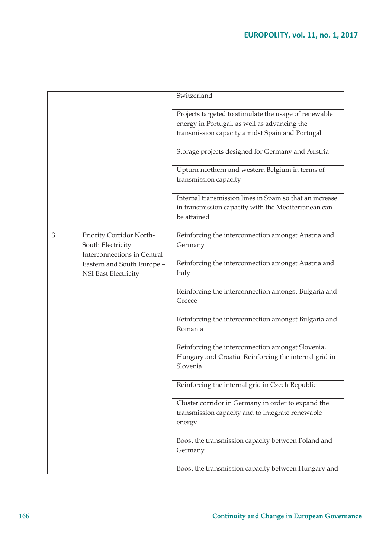|   |                                                                              | Switzerland                                                        |
|---|------------------------------------------------------------------------------|--------------------------------------------------------------------|
|   |                                                                              | Projects targeted to stimulate the usage of renewable              |
|   |                                                                              | energy in Portugal, as well as advancing the                       |
|   |                                                                              | transmission capacity amidst Spain and Portugal                    |
|   |                                                                              | Storage projects designed for Germany and Austria                  |
|   |                                                                              | Upturn northern and western Belgium in terms of                    |
|   |                                                                              | transmission capacity                                              |
|   |                                                                              | Internal transmission lines in Spain so that an increase           |
|   |                                                                              | in transmission capacity with the Mediterranean can<br>be attained |
|   |                                                                              |                                                                    |
| 3 | Priority Corridor North-<br>South Electricity<br>Interconnections in Central | Reinforcing the interconnection amongst Austria and<br>Germany     |
|   | Eastern and South Europe -                                                   | Reinforcing the interconnection amongst Austria and                |
|   | NSI East Electricity                                                         | Italy                                                              |
|   |                                                                              | Reinforcing the interconnection amongst Bulgaria and               |
|   |                                                                              | Greece                                                             |
|   |                                                                              | Reinforcing the interconnection amongst Bulgaria and<br>Romania    |
|   |                                                                              | Reinforcing the interconnection amongst Slovenia,                  |
|   |                                                                              | Hungary and Croatia. Reinforcing the internal grid in<br>Slovenia  |
|   |                                                                              | Reinforcing the internal grid in Czech Republic                    |
|   |                                                                              | Cluster corridor in Germany in order to expand the                 |
|   |                                                                              | transmission capacity and to integrate renewable                   |
|   |                                                                              | energy                                                             |
|   |                                                                              | Boost the transmission capacity between Poland and                 |
|   |                                                                              | Germany                                                            |
|   |                                                                              | Boost the transmission capacity between Hungary and                |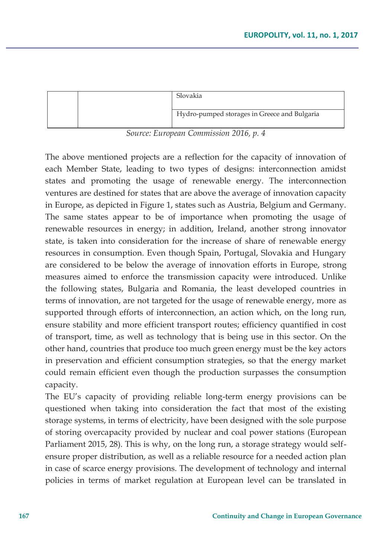|  | Slovakia                                     |
|--|----------------------------------------------|
|  |                                              |
|  | Hydro-pumped storages in Greece and Bulgaria |
|  |                                              |

*Source: European Commission 2016, p. 4* 

The above mentioned projects are a reflection for the capacity of innovation of each Member State, leading to two types of designs: interconnection amidst states and promoting the usage of renewable energy. The interconnection ventures are destined for states that are above the average of innovation capacity in Europe, as depicted in Figure 1, states such as Austria, Belgium and Germany. The same states appear to be of importance when promoting the usage of renewable resources in energy; in addition, Ireland, another strong innovator state, is taken into consideration for the increase of share of renewable energy resources in consumption. Even though Spain, Portugal, Slovakia and Hungary are considered to be below the average of innovation efforts in Europe, strong measures aimed to enforce the transmission capacity were introduced. Unlike the following states, Bulgaria and Romania, the least developed countries in terms of innovation, are not targeted for the usage of renewable energy, more as supported through efforts of interconnection, an action which, on the long run, ensure stability and more efficient transport routes; efficiency quantified in cost of transport, time, as well as technology that is being use in this sector. On the other hand, countries that produce too much green energy must be the key actors in preservation and efficient consumption strategies, so that the energy market could remain efficient even though the production surpasses the consumption capacity.

The EU's capacity of providing reliable long-term energy provisions can be questioned when taking into consideration the fact that most of the existing storage systems, in terms of electricity, have been designed with the sole purpose of storing overcapacity provided by nuclear and coal power stations (European Parliament 2015, 28). This is why, on the long run, a storage strategy would selfensure proper distribution, as well as a reliable resource for a needed action plan in case of scarce energy provisions. The development of technology and internal policies in terms of market regulation at European level can be translated in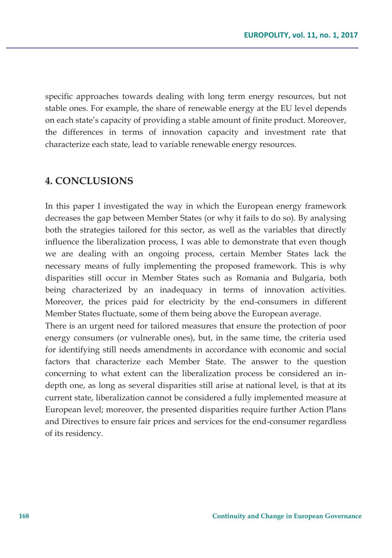specific approaches towards dealing with long term energy resources, but not stable ones. For example, the share of renewable energy at the EU level depends on each state's capacity of providing a stable amount of finite product. Moreover, the differences in terms of innovation capacity and investment rate that characterize each state, lead to variable renewable energy resources.

### **4. CONCLUSIONS**

In this paper I investigated the way in which the European energy framework decreases the gap between Member States (or why it fails to do so). By analysing both the strategies tailored for this sector, as well as the variables that directly influence the liberalization process, I was able to demonstrate that even though we are dealing with an ongoing process, certain Member States lack the necessary means of fully implementing the proposed framework. This is why disparities still occur in Member States such as Romania and Bulgaria, both being characterized by an inadequacy in terms of innovation activities. Moreover, the prices paid for electricity by the end-consumers in different Member States fluctuate, some of them being above the European average.

There is an urgent need for tailored measures that ensure the protection of poor energy consumers (or vulnerable ones), but, in the same time, the criteria used for identifying still needs amendments in accordance with economic and social factors that characterize each Member State. The answer to the question concerning to what extent can the liberalization process be considered an indepth one, as long as several disparities still arise at national level, is that at its current state, liberalization cannot be considered a fully implemented measure at European level; moreover, the presented disparities require further Action Plans and Directives to ensure fair prices and services for the end-consumer regardless of its residency.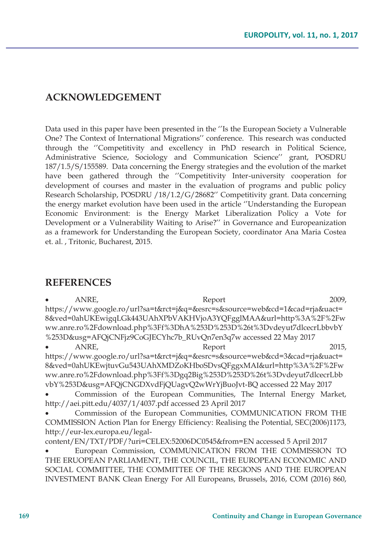## **ACKNOWLEDGEMENT**

Data used in this paper have been presented in the ''Is the European Society a Vulnerable One? The Context of International Migrations'' conference. This research was conducted through the ''Competitivity and excellency in PhD research in Political Science, Administrative Science, Sociology and Communication Science'' grant, POSDRU 187/1.5/S/155589. Data concerning the Energy strategies and the evolution of the market have been gathered through the ''Competitivity Inter-university cooperation for development of courses and master in the evaluation of programs and public policy Research Scholarship, POSDRU /18/1.2/G/28682'' Competitivity grant. Data concerning the energy market evolution have been used in the article ''Understanding the European Economic Environment: is the Energy Market Liberalization Policy a Vote for Development or a Vulnerability Waiting to Arise?'' in Governance and Europeanization as a framework for Understanding the European Society, coordinator Ana Maria Costea et. al. , Tritonic, Bucharest, 2015.

### **REFERENCES**

| ANRE,                           | Report                                                                                | 2009, |
|---------------------------------|---------------------------------------------------------------------------------------|-------|
|                                 | https://www.google.ro/url?sa=t&rct=j&q=&esrc=s&source=web&cd=1&cad=rja&uact=          |       |
|                                 | 8&ved=0ahUKEwigqLGk443UAhXPbVAKHVjoA3YQFgglMAA&url=http%3A%2F%2Fw                     |       |
|                                 | ww.anre.ro%2Fdownload.php%3Ff%3DhA%253D%253D%26t%3Dvdeyut7dlcecrLbbvbY                |       |
|                                 | %253D&usg=AFQjCNFjz9CoGJECYhc7b_RUvQn7en3q7w accessed 22 May 2017                     |       |
| ANRE,                           | Report                                                                                | 2015. |
|                                 | https://www.google.ro/url?sa=t&rct=j&q=&esrc=s&source=web&cd=3&cad=rja&uact=          |       |
|                                 | 8&ved=0ahUKEwjtuvGu543UAhXMDZoKHboSDvsQFggxMAI&url=http%3A%2F%2Fw                     |       |
|                                 | ww.anre.ro%2Fdownload.php%3Ff%3Dgq2Big%253D%253D%26t%3Dvdeyut7dlcecrLbb               |       |
|                                 | vbY%253D&usg=AFQjCNGDXvdFjQUagvQ2wWrYjBuoJvt-BQ accessed 22 May 2017                  |       |
|                                 | Commission of the European Communities, The Internal Energy Market,                   |       |
|                                 | http://aei.pitt.edu/4037/1/4037.pdf accessed 23 April 2017                            |       |
|                                 | Commission of the European Communities, COMMUNICATION FROM THE                        |       |
|                                 | COMMISSION Action Plan for Energy Efficiency: Realising the Potential, SEC(2006)1173, |       |
| http://eur-lex.europa.eu/legal- |                                                                                       |       |
|                                 | content/EN/TXT/PDF/?uri=CELEX:52006DC0545&from=EN accessed 5 April 2017               |       |
|                                 | European Commission, COMMUNICATION FROM THE COMMISSION TO                             |       |
|                                 | THE ERUOPEAN PARLIAMENT, THE COUNCIL, THE EUROPEAN ECONOMIC AND                       |       |
|                                 | SOCIAL COMMITTEE, THE COMMITTEE OF THE REGIONS AND THE EUROPEAN                       |       |
|                                 | INVESTMENT BANK Clean Energy For All Europeans, Brussels, 2016, COM (2016) 860,       |       |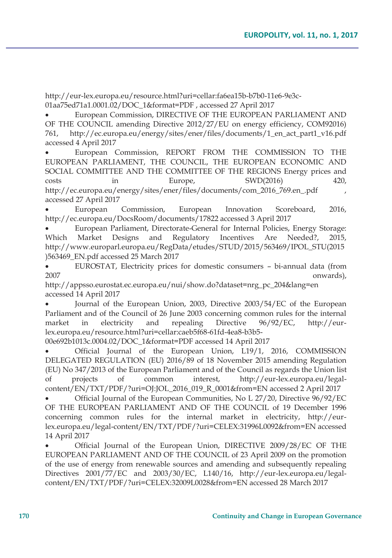http://eur-lex.europa.eu/resource.html?uri=cellar:fa6ea15b-b7b0-11e6-9e3c-01aa75ed71a1.0001.02/DOC\_1&format=PDF , accessed 27 April 2017

European Commission, DIRECTIVE OF THE EUROPEAN PARLIAMENT AND OF THE COUNCIL amending Directive 2012/27/EU on energy efficiency, COM92016) 761, http://ec.europa.eu/energy/sites/ener/files/documents/1\_en\_act\_part1\_v16.pdf accessed 4 April 2017

x European Commission, REPORT FROM THE COMMISSION TO THE EUROPEAN PARLIAMENT, THE COUNCIL, THE EUROPEAN ECONOMIC AND SOCIAL COMMITTEE AND THE COMMITTEE OF THE REGIONS Energy prices and costs in Europe, SWD(2016) 420, http://ec.europa.eu/energy/sites/ener/files/documents/com\_2016\_769.en\_.pdf , accessed 27 April 2017

European Commission, European Innovation Scoreboard, 2016, http://ec.europa.eu/DocsRoom/documents/17822 accessed 3 April 2017

European Parliament, Directorate-General for Internal Policies, Energy Storage: Which Market Designs and Regulatory Incentives Are Needed?, 2015, http://www.europarl.europa.eu/RegData/etudes/STUD/2015/563469/IPOL\_STU(2015 )563469\_EN.pdf accessed 25 March 2017

x EUROSTAT, Electricity prices for domestic consumers – bi-annual data (from 2007 onwards),

http://appsso.eurostat.ec.europa.eu/nui/show.do?dataset=nrg\_pc\_204&lang=en accessed 14 April 2017

Journal of the European Union, 2003, Directive 2003/54/EC of the European Parliament and of the Council of 26 June 2003 concerning common rules for the internal market in electricity and repealing Directive 96/92/EC, http://eurlex.europa.eu/resource.html?uri=cellar:caeb5f68-61fd-4ea8-b3b5-

00e692b1013c.0004.02/DOC\_1&format=PDF accessed 14 April 2017

x Official Journal of the European Union, L19/1, 2016, COMMISSION DELEGATED REGULATION (EU) 2016/89 of 18 November 2015 amending Regulation (EU) No 347/2013 of the European Parliament and of the Council as regards the Union list of projects of common interest, http://eur-lex.europa.eu/legalcontent/EN/TXT/PDF/?uri=OJ:JOL\_2016\_019\_R\_0001&from=EN accessed 2 April 2017

Official Journal of the European Communities, No L 27/20, Directive 96/92/EC OF THE EUROPEAN PARLIAMENT AND OF THE COUNCIL of 19 December 1996 concerning common rules for the internal market in electricity, http://eurlex.europa.eu/legal-content/EN/TXT/PDF/?uri=CELEX:31996L0092&from=EN accessed 14 April 2017

Official Journal of the European Union, DIRECTIVE 2009/28/EC OF THE EUROPEAN PARLIAMENT AND OF THE COUNCIL of 23 April 2009 on the promotion of the use of energy from renewable sources and amending and subsequently repealing Directives 2001/77/EC and 2003/30/EC, L140/16, http://eur-lex.europa.eu/legalcontent/EN/TXT/PDF/?uri=CELEX:32009L0028&from=EN accessed 28 March 2017